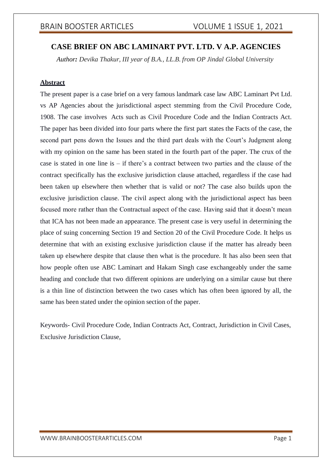# **CASE BRIEF ON ABC LAMINART PVT. LTD. V A.P. AGENCIES**

*Author: Devika Thakur, III year of B.A., LL.B. from OP Jindal Global University*

#### **Abstract**

The present paper is a case brief on a very famous landmark case law ABC Laminart Pvt Ltd. vs AP Agencies about the jurisdictional aspect stemming from the Civil Procedure Code, 1908. The case involves Acts such as Civil Procedure Code and the Indian Contracts Act. The paper has been divided into four parts where the first part states the Facts of the case, the second part pens down the Issues and the third part deals with the Court's Judgment along with my opinion on the same has been stated in the fourth part of the paper. The crux of the case is stated in one line is – if there's a contract between two parties and the clause of the contract specifically has the exclusive jurisdiction clause attached, regardless if the case had been taken up elsewhere then whether that is valid or not? The case also builds upon the exclusive jurisdiction clause. The civil aspect along with the jurisdictional aspect has been focused more rather than the Contractual aspect of the case. Having said that it doesn't mean that ICA has not been made an appearance. The present case is very useful in determining the place of suing concerning Section 19 and Section 20 of the Civil Procedure Code. It helps us determine that with an existing exclusive jurisdiction clause if the matter has already been taken up elsewhere despite that clause then what is the procedure. It has also been seen that how people often use ABC Laminart and Hakam Singh case exchangeably under the same heading and conclude that two different opinions are underlying on a similar cause but there is a thin line of distinction between the two cases which has often been ignored by all, the same has been stated under the opinion section of the paper.

Keywords- Civil Procedure Code, Indian Contracts Act, Contract, Jurisdiction in Civil Cases, Exclusive Jurisdiction Clause,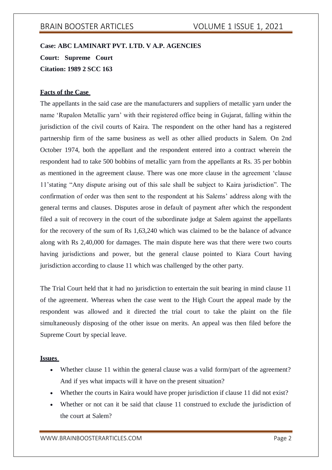# **Case: ABC LAMINART PVT. LTD. V A.P. AGENCIES Court: Supreme Court Citation: 1989 2 SCC 163**

#### **Facts of the Case**

The appellants in the said case are the manufacturers and suppliers of metallic yarn under the name 'Rupalon Metallic yarn' with their registered office being in Gujarat, falling within the jurisdiction of the civil courts of Kaira. The respondent on the other hand has a registered partnership firm of the same business as well as other allied products in Salem. On 2nd October 1974, both the appellant and the respondent entered into a contract wherein the respondent had to take 500 bobbins of metallic yarn from the appellants at Rs. 35 per bobbin as mentioned in the agreement clause. There was one more clause in the agreement 'clause 11'stating "Any dispute arising out of this sale shall be subject to Kaira jurisdiction". The confirmation of order was then sent to the respondent at his Salems' address along with the general terms and clauses. Disputes arose in default of payment after which the respondent filed a suit of recovery in the court of the subordinate judge at Salem against the appellants for the recovery of the sum of Rs 1,63,240 which was claimed to be the balance of advance along with Rs 2,40,000 for damages. The main dispute here was that there were two courts having jurisdictions and power, but the general clause pointed to Kiara Court having jurisdiction according to clause 11 which was challenged by the other party.

The Trial Court held that it had no jurisdiction to entertain the suit bearing in mind clause 11 of the agreement. Whereas when the case went to the High Court the appeal made by the respondent was allowed and it directed the trial court to take the plaint on the file simultaneously disposing of the other issue on merits. An appeal was then filed before the Supreme Court by special leave.

#### **Issues**

- Whether clause 11 within the general clause was a valid form/part of the agreement? And if yes what impacts will it have on the present situation?
- Whether the courts in Kaira would have proper jurisdiction if clause 11 did not exist?
- Whether or not can it be said that clause 11 construed to exclude the jurisdiction of the court at Salem?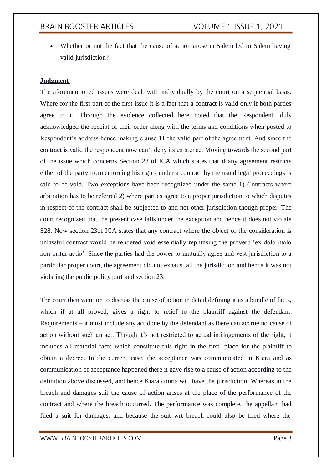Whether or not the fact that the cause of action arose in Salem led to Salem having valid jurisdiction?

#### **Judgment**

The aforementioned issues were dealt with individually by the court on a sequential basis. Where for the first part of the first issue it is a fact that a contract is valid only if both parties agree to it. Through the evidence collected here noted that the Respondent duly acknowledged the receipt of their order along with the terms and conditions when posted to Respondent's address hence making clause 11 the valid part of the agreement. And since the contract is valid the respondent now can't deny its existence. Moving towards the second part of the issue which concerns Section 28 of ICA which states that if any agreement restricts either of the party from enforcing his rights under a contract by the usual legal proceedings is said to be void. Two exceptions have been recognized under the same 1) Contracts where arbitration has to be referred 2) where parties agree to a proper jurisdiction to which disputes in respect of the contract shall be subjected to and not other jurisdiction though proper. The court recognized that the present case falls under the exception and hence it does not violate S28. Now section 23of ICA states that any contract where the object or the consideration is unlawful contract would be rendered void essentially rephrasing the proverb 'ex dolo malo non-oritur actio'. Since the parties had the power to mutually agree and vest jurisdiction to a particular proper court, the agreement did not exhaust all the jurisdiction and hence it was not violating the public policy part and section 23.

The court then went on to discuss the cause of action in detail defining it as a bundle of facts, which if at all proved, gives a right to relief to the plaintiff against the defendant. Requirements – it must include any act done by the defendant as there can accrue no cause of action without such an act. Though it's not restricted to actual infringements of the right, it includes all material facts which constitute this right in the first place for the plaintiff to obtain a decree. In the current case, the acceptance was communicated in Kiara and as communication of acceptance happened there it gave rise to a cause of action according to the definition above discussed, and hence Kiara courts will have the jurisdiction. Whereas in the breach and damages suit the cause of action arises at the place of the performance of the contract and where the breach occurred. The performance was complete, the appellant had filed a suit for damages, and because the suit wrt breach could also be filed where the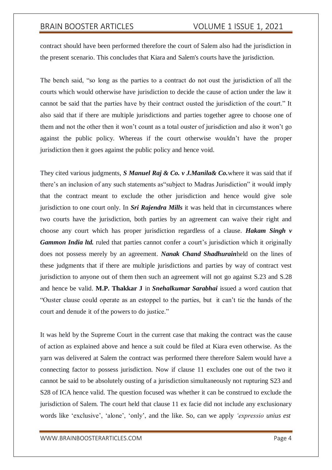## BRAIN BOOSTER ARTICLES VOLUME 1 ISSUE 1, 2021

contract should have been performed therefore the court of Salem also had the jurisdiction in the present scenario. This concludes that Kiara and Salem's courts have the jurisdiction.

The bench said, "so long as the parties to a contract do not oust the jurisdiction of all the courts which would otherwise have jurisdiction to decide the cause of action under the law it cannot be said that the parties have by their contract ousted the jurisdiction of the court." It also said that if there are multiple jurisdictions and parties together agree to choose one of them and not the other then it won't count as a total ouster of jurisdiction and also it won't go against the public policy. Whereas if the court otherwise wouldn't have the proper jurisdiction then it goes against the public policy and hence void.

They cited various judgments, *S Manuel Raj & Co. v J.Manila& Co.*where it was said that if there's an inclusion of any such statements as"subject to Madras Jurisdiction" it would imply that the contract meant to exclude the other jurisdiction and hence would give sole jurisdiction to one court only. In *Sri Rajendra Mills* it was held that in circumstances where two courts have the jurisdiction, both parties by an agreement can waive their right and choose any court which has proper jurisdiction regardless of a clause. *Hakam Singh v Gammon India ltd.* ruled that parties cannot confer a court's jurisdiction which it originally does not possess merely by an agreement. *Nanak Chand Shadhurain*held on the lines of these judgments that if there are multiple jurisdictions and parties by way of contract vest jurisdiction to anyone out of them then such an agreement will not go against S.23 and S.28 and hence be valid. **M.P. Thakkar J** in *Snehalkumar Sarabhai* issued a word caution that "Ouster clause could operate as an estoppel to the parties, but it can't tie the hands of the court and denude it of the powers to do justice."

It was held by the Supreme Court in the current case that making the contract was the cause of action as explained above and hence a suit could be filed at Kiara even otherwise. As the yarn was delivered at Salem the contract was performed there therefore Salem would have a connecting factor to possess jurisdiction. Now if clause 11 excludes one out of the two it cannot be said to be absolutely ousting of a jurisdiction simultaneously not rupturing S23 and S28 of ICA hence valid. The question focused was whether it can be construed to exclude the jurisdiction of Salem. The court held that clause 11 ex facie did not include any exclusionary words like 'exclusive', 'alone', 'only', and the like. So, can we apply *'expressio unius est*